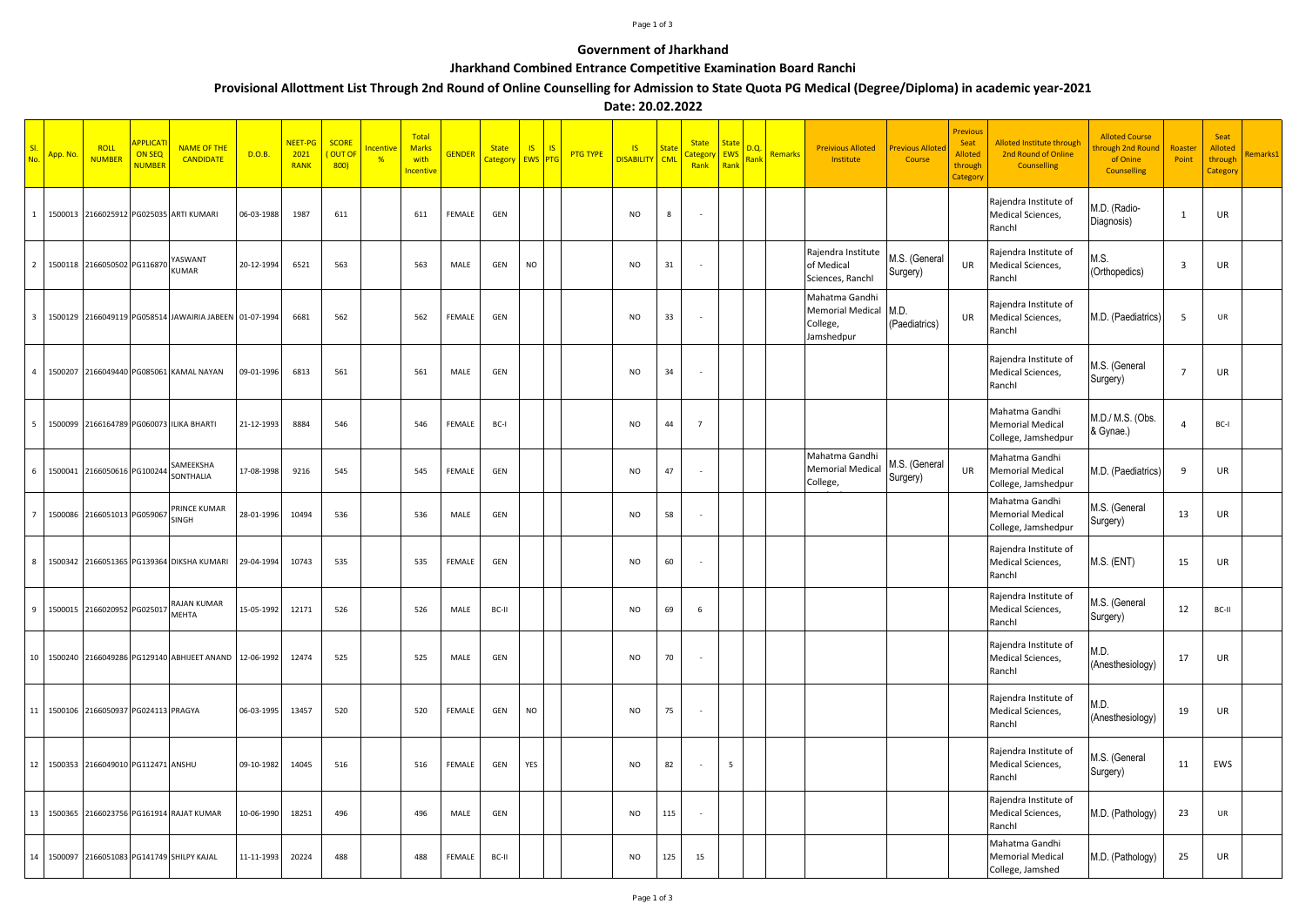## Page 1 of 3

## **Government of Jharkhand**

## **Jharkhand Combined Entrance Competitive Examination Board Ranchi**

**Provisional Allottment List Through 2nd Round of Online Counselling for Admission to State Quota PG Medical (Degree/Diploma) in academic year-2021**

**Date: 20.02.2022**

| SI.<br>No.              | App. No. | <b>ROLL</b><br><b>NUMBER</b>      | <b>APPLICAT</b><br>ON SEQ<br><b>NUMBEF</b> | <b>NAME OF THE</b><br><b>CANDIDATE</b>      | D.O.B.     | NEET-PG<br>2021<br><b>RANK</b> | <b>SCORE</b><br>OUT OF<br>800) | ncentiv<br>$\frac{9}{6}$ | <b>Total</b><br><b>Marks</b><br>with<br><b>Incentive</b> | <b>GENDER</b> | <b>State</b><br><b>Category</b> | IS<br><b>EWS</b> PTG | <b>IS</b><br><b>PTG TYPE</b> | $\overline{\mathsf{S}}$<br><b>DISABILITY</b> | <b>State</b><br><b>CML</b> | <b>State</b><br>`ategor<br>Rank | <b>State</b><br><b>EWS</b><br><b>Rank</b> | D.Q.<br>Rank | Remarks | <b>Preivious Alloted</b><br>Institute                               | revious Allote<br>Course         | <b>Previous</b><br>Seat<br><b>Alloted</b><br>through<br>Category | Alloted Institute through<br>2nd Round of Online<br><b>Counselling</b> | <b>Alloted Course</b><br>hrough 2nd Round<br>of Onine<br>Counselling | Roaster<br>Point        | Seat<br>Alloted<br>through<br>Category | Remarks1 |
|-------------------------|----------|-----------------------------------|--------------------------------------------|---------------------------------------------|------------|--------------------------------|--------------------------------|--------------------------|----------------------------------------------------------|---------------|---------------------------------|----------------------|------------------------------|----------------------------------------------|----------------------------|---------------------------------|-------------------------------------------|--------------|---------|---------------------------------------------------------------------|----------------------------------|------------------------------------------------------------------|------------------------------------------------------------------------|----------------------------------------------------------------------|-------------------------|----------------------------------------|----------|
| $\mathbf{1}$            |          |                                   |                                            | 1500013 2166025912 PG025035 ARTI KUMARI     | 06-03-1988 | 1987                           | 611                            |                          | 611                                                      | FEMALE        | GEN                             |                      |                              | <b>NO</b>                                    | 8                          |                                 |                                           |              |         |                                                                     |                                  |                                                                  | Rajendra Institute of<br>Medical Sciences,<br>Ranchl                   | 1.D. (Radio-<br>Diagnosis)                                           | 1                       | UR                                     |          |
| $\overline{2}$          |          | 1500118 2166050502 PG116870       |                                            | <b>ASWANT</b><br>KUMAR                      | 20-12-1994 | 6521                           | 563                            |                          | 563                                                      | MALE          | GEN                             | <b>NO</b>            |                              | <b>NO</b>                                    | 31                         |                                 |                                           |              |         | Rajendra Institute<br>of Medical<br>Sciences, Ranchl                | M.S. (General<br>Surgery)        | UR                                                               | Rajendra Institute of<br>Medical Sciences,<br>Ranchl                   | ١.S.<br>(Orthopedics)                                                | $\overline{\mathbf{3}}$ | UR                                     |          |
| $\overline{\mathbf{3}}$ |          | 1500129 2166049119 PG058514       |                                            | JAWAIRIA JABEEN                             | 01-07-1994 | 6681                           | 562                            |                          | 562                                                      | FEMALE        | GEN                             |                      |                              | <b>NO</b>                                    | 33                         |                                 |                                           |              |         | Mahatma Gandhi<br><b>Memorial Medical</b><br>College,<br>Jamshedpur | M.D.<br>(Paediatrics)            | UR                                                               | Rajendra Institute of<br>Medical Sciences,<br>Ranchl                   | M.D. (Paediatrics)                                                   | - 5                     | UR                                     |          |
| $\overline{4}$          |          |                                   |                                            | 1500207 2166049440 PG085061 KAMAL NAYAN     | 09-01-1996 | 6813                           | 561                            |                          | 561                                                      | MALE          | GEN                             |                      |                              | <b>NO</b>                                    | 34                         |                                 |                                           |              |         |                                                                     |                                  |                                                                  | Rajendra Institute of<br>Medical Sciences,<br>Ranchl                   | A.S. (General<br>Surgery)                                            | $\overline{7}$          | UR                                     |          |
| 5                       |          | 1500099 2166164789 PG060073       |                                            | <b>ILIKA BHARTI</b>                         | 21-12-1993 | 8884                           | 546                            |                          | 546                                                      | FEMALE        | BC-I                            |                      |                              | <b>NO</b>                                    | 44                         | $\overline{7}$                  |                                           |              |         |                                                                     |                                  |                                                                  | Mahatma Gandhi<br><b>Memorial Medical</b><br>College, Jamshedpur       | M.D./ M.S. (Obs.<br>& Gynae.)                                        | $\overline{a}$          | BC-I                                   |          |
| 6                       |          | 1500041 2166050616 PG100244       |                                            | SAMEEKSHA<br>SONTHALIA                      | 17-08-1998 | 9216                           | 545                            |                          | 545                                                      | FEMALE        | GEN                             |                      |                              | <b>NO</b>                                    | 47                         |                                 |                                           |              |         | Mahatma Gandhi<br><b>Memorial Medical</b><br>College,               | <b>A.S.</b> (General<br>Surgery) | UR                                                               | Mahatma Gandhi<br><b>Memorial Medical</b><br>College, Jamshedpur       | M.D. (Paediatrics)                                                   | 9                       | UR                                     |          |
| $\overline{7}$          |          | 1500086 2166051013 PG059067       |                                            | <b>PRINCE KUMAR</b><br>SINGH                | 28-01-1996 | 10494                          | 536                            |                          | 536                                                      | MALE          | GEN                             |                      |                              | <b>NO</b>                                    | 58                         | $\sim$                          |                                           |              |         |                                                                     |                                  |                                                                  | Mahatma Gandhi<br><b>Memorial Medical</b><br>College, Jamshedpur       | M.S. (General<br>Surgery)                                            | 13                      | UR                                     |          |
| 8                       |          |                                   |                                            | 1500342 2166051365 PG139364 DIKSHA KUMARI   | 29-04-1994 | 10743                          | 535                            |                          | 535                                                      | FEMALE        | GEN                             |                      |                              | <b>NO</b>                                    | 60                         |                                 |                                           |              |         |                                                                     |                                  |                                                                  | Rajendra Institute of<br>Medical Sciences,<br>Ranchl                   | <b>M.S. (ENT)</b>                                                    | 15                      | UR                                     |          |
| 9                       |          | 1500015 2166020952 PG025017       |                                            | <b>RAJAN KUMAR</b><br><b>MEHTA</b>          | 15-05-1992 | 12171                          | 526                            |                          | 526                                                      | MALE          | BC-II                           |                      |                              | <b>NO</b>                                    | 69                         | 6                               |                                           |              |         |                                                                     |                                  |                                                                  | Rajendra Institute of<br>Medical Sciences,<br>Ranchl                   | M.S. (General<br>Surgery)                                            | 12                      | BC-II                                  |          |
| 10                      |          |                                   |                                            | 1500240 2166049286 PG129140 ABHIJEET ANAND  | 12-06-1992 | 12474                          | 525                            |                          | 525                                                      | MALE          | GEN                             |                      |                              | <b>NO</b>                                    | 70                         | $\sim$                          |                                           |              |         |                                                                     |                                  |                                                                  | Rajendra Institute of<br>Medical Sciences,<br>Ranchl                   | M.D.<br>(Anesthesiology)                                             | 17                      | UR                                     |          |
|                         |          | 11 1500106 2166050937             | PG024113 PRAGYA                            |                                             | 06-03-1995 | 13457                          | 520                            |                          | 520                                                      | FEMALE        | GEN                             | <b>NO</b>            |                              | <b>NO</b>                                    | 75                         |                                 |                                           |              |         |                                                                     |                                  |                                                                  | Rajendra Institute of<br>Medical Sciences,<br>Ranchl                   | I.D.<br>(Anesthesiology)                                             | 19                      | UR                                     |          |
| 12                      |          | 1500353 2166049010 PG112471 ANSHU |                                            |                                             | 09-10-1982 | 14045                          | 516                            |                          | 516                                                      | FEMALE        | GEN                             | YES                  |                              | <b>NO</b>                                    | 82                         |                                 | 5                                         |              |         |                                                                     |                                  |                                                                  | Rajendra Institute of<br>Medical Sciences,<br>Ranchl                   | M.S. (General<br>Surgery)                                            | 11                      | EWS                                    |          |
| 13                      |          |                                   |                                            | 1500365 2166023756 PG161914 RAJAT KUMAR     | 10-06-1990 | 18251                          | 496                            |                          | 496                                                      | MALE          | GEN                             |                      |                              | <b>NO</b>                                    | 115                        | ч.                              |                                           |              |         |                                                                     |                                  |                                                                  | Rajendra Institute of<br>Medical Sciences,<br>Ranchl                   | M.D. (Pathology)                                                     | 23                      | UR                                     |          |
|                         |          |                                   |                                            | 14 1500097 2166051083 PG141749 SHILPY KAJAL | 11-11-1993 | 20224                          | 488                            |                          | 488                                                      | FEMALE        | BC-II                           |                      |                              | <b>NO</b>                                    | 125                        | 15                              |                                           |              |         |                                                                     |                                  |                                                                  | Mahatma Gandhi<br><b>Memorial Medical</b><br>College, Jamshed          | M.D. (Pathology)                                                     | 25                      | UR                                     |          |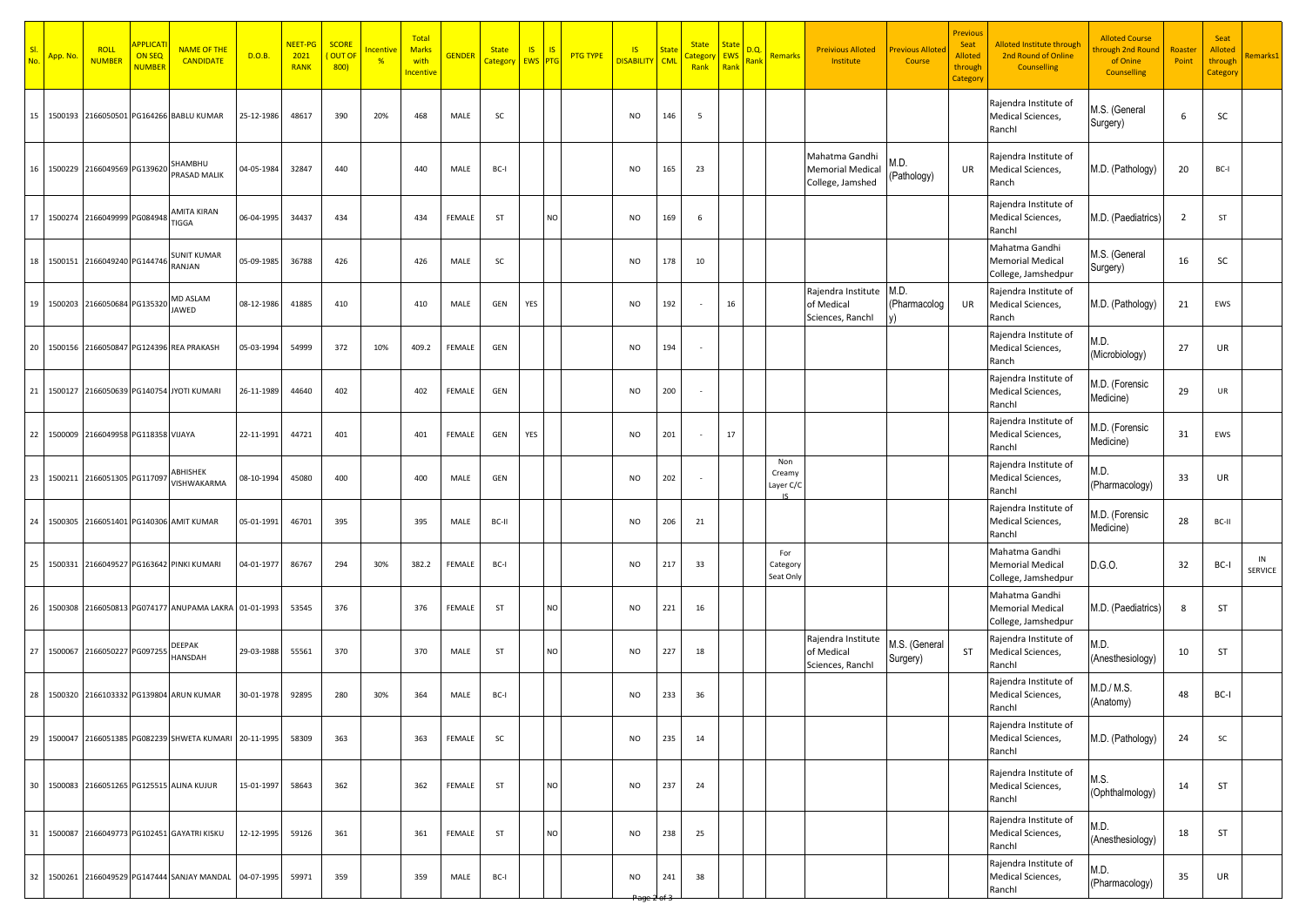| <b>SI</b><br>No. | <mark>App. No.</mark> | <b>ROLL</b><br><b>NUMBER</b>   | <b>APPLICAT</b><br><b>ON SEQ</b><br><b>NUMBEF</b> | <b>NAME OF THE</b><br><b>CANDIDATE</b>         | D.O.B.     | <mark>NEET-PG</mark><br>2021<br><b>RANK</b> | <b>SCORE</b><br>OUT OF<br>800) | <u>ncentiv</u><br>$\frac{9}{6}$ | Total<br><b>Marks</b><br>with<br><u>Incentive</u> | <b>GENDER</b> | <b>State</b><br>Categor <sup>,</sup> | IS.<br><b>EWS</b> PTC | <b>IS</b> | <b>PTG TYPE</b> | <b>IS</b><br><b>DISABILITY</b> | <b>Stat</b><br><b>CML</b> | <b>State</b><br><mark>`ategon</mark><br>Rank | State<br><b>EWS</b><br>Rank | <u>D.Q</u><br>Ranl | Remarks                      | <b>Preivious Alloted</b><br>Institute                         | <b>revious Allote</b><br>Course | Previous<br>Seat<br><b>Alloted</b><br>through<br>Category | <b>Alloted Institute through</b><br>2nd Round of Online<br><b>Counselling</b> | <b>Alloted Course</b><br>hrough 2nd Round<br>of Onine<br><b>Counselling</b> | Roaster<br>Point | Seat<br><b>Alloted</b><br>through<br>Category | <mark>emarks1</mark> |
|------------------|-----------------------|--------------------------------|---------------------------------------------------|------------------------------------------------|------------|---------------------------------------------|--------------------------------|---------------------------------|---------------------------------------------------|---------------|--------------------------------------|-----------------------|-----------|-----------------|--------------------------------|---------------------------|----------------------------------------------|-----------------------------|--------------------|------------------------------|---------------------------------------------------------------|---------------------------------|-----------------------------------------------------------|-------------------------------------------------------------------------------|-----------------------------------------------------------------------------|------------------|-----------------------------------------------|----------------------|
| 15 <sup>1</sup>  | 1500193               | 2166050501                     |                                                   | PG164266 BABLU KUMAR                           | 25-12-1986 | 48617                                       | 390                            | 20%                             | 468                                               | MALE          | SC                                   |                       |           |                 | <b>NO</b>                      | 146                       | 5                                            |                             |                    |                              |                                                               |                                 |                                                           | Rajendra Institute of<br>Medical Sciences,<br>Ranchl                          | M.S. (General<br>Surgery)                                                   | 6                | SC                                            |                      |
| 16               |                       | 1500229 2166049569 PG139620    |                                                   | HAMBHU<br>PRASAD MALIK                         | 04-05-1984 | 32847                                       | 440                            |                                 | 440                                               | MALE          | BC-I                                 |                       |           |                 | <b>NO</b>                      | 165                       | 23                                           |                             |                    |                              | Mahatma Gandhi<br><b>Memorial Medical</b><br>College, Jamshed | M.D.<br>(Pathology)             | UR                                                        | Rajendra Institute of<br>Medical Sciences,<br>Ranch                           | M.D. (Pathology)                                                            | 20               | BC-I                                          |                      |
|                  |                       | 17 1500274 2166049999 PG084948 |                                                   | <b>MITA KIRAN</b><br><b>TIGGA</b>              | 06-04-1995 | 34437                                       | 434                            |                                 | 434                                               | FEMALE        | ST                                   |                       | NO        |                 | <b>NO</b>                      | 169                       | 6                                            |                             |                    |                              |                                                               |                                 |                                                           | Rajendra Institute of<br>Medical Sciences,<br>Ranchl                          | M.D. (Paediatrics)                                                          | $\overline{2}$   | ST                                            |                      |
|                  |                       | 18 1500151 2166049240 PG144746 |                                                   | UNIT KUMAR<br>RANJAN                           | 05-09-1985 | 36788                                       | 426                            |                                 | 426                                               | MALE          | SC                                   |                       |           |                 | <b>NO</b>                      | 178                       | 10                                           |                             |                    |                              |                                                               |                                 |                                                           | Mahatma Gandhi<br><b>Memorial Medical</b><br>College, Jamshedpur              | M.S. (General<br>Surgery)                                                   | 16               | SC                                            |                      |
| 19               | 1500203               | 2166050684                     | PG135320                                          | MD ASLAM<br>JAWED                              | 08-12-1986 | 41885                                       | 410                            |                                 | 410                                               | MALE          | GEN                                  | YES                   |           |                 | <b>NO</b>                      | 192                       | $\overline{\phantom{a}}$                     | 16                          |                    |                              | Rajendra Institute<br>of Medical<br>Sciences, Ranchl          | M.D.<br>(Pharmacolog            | UR                                                        | Rajendra Institute of<br>Medical Sciences,<br>Ranch                           | M.D. (Pathology)                                                            | 21               | EWS                                           |                      |
|                  |                       | 20 1500156 2166050847          |                                                   | PG124396 REA PRAKASH                           | 05-03-1994 | 54999                                       | 372                            | 10%                             | 409.2                                             | FEMALE        | GEN                                  |                       |           |                 | <b>NO</b>                      | 194                       |                                              |                             |                    |                              |                                                               |                                 |                                                           | Rajendra Institute of<br>Medical Sciences,<br>Ranch                           | M.D.<br>(Microbiology)                                                      | 27               | UR                                            |                      |
|                  |                       | 21 1500127 2166050639          |                                                   | PG140754 JYOTI KUMARI                          | 26-11-1989 | 44640                                       | 402                            |                                 | 402                                               | FEMALE        | GEN                                  |                       |           |                 | <b>NO</b>                      | 200                       |                                              |                             |                    |                              |                                                               |                                 |                                                           | Rajendra Institute of<br>Medical Sciences,<br>Ranchl                          | M.D. (Forensic<br>Medicine)                                                 | 29               | UR                                            |                      |
|                  | 22 1500009            | 2166049958 PG118358 VIJAYA     |                                                   |                                                | 22-11-1991 | 44721                                       | 401                            |                                 | 401                                               | FEMALE        | GEN                                  | YES                   |           |                 | <b>NO</b>                      | 201                       | $\overline{\phantom{a}}$                     | 17                          |                    |                              |                                                               |                                 |                                                           | Rajendra Institute of<br>Medical Sciences.<br>Ranchl                          | M.D. (Forensic<br>Medicine)                                                 | 31               | EWS                                           |                      |
|                  |                       | 23 1500211 2166051305 PG117097 |                                                   | <b>IBHISHEK</b><br><b>ISHWAKARMA</b>           | 08-10-1994 | 45080                                       | 400                            |                                 | 400                                               | MALE          | GEN                                  |                       |           |                 | <b>NO</b>                      | 202                       |                                              |                             |                    | Non<br>Creamy<br>Layer C/C   |                                                               |                                 |                                                           | Rajendra Institute of<br>Medical Sciences,<br>Ranchl                          | M.D.<br>(Pharmacology)                                                      | 33               | UR                                            |                      |
|                  |                       |                                |                                                   | 24 1500305 2166051401 PG140306 AMIT KUMAR      | 05-01-1991 | 46701                                       | 395                            |                                 | 395                                               | MALE          | BC-II                                |                       |           |                 | <b>NO</b>                      | 206                       | 21                                           |                             |                    |                              |                                                               |                                 |                                                           | Rajendra Institute of<br>Medical Sciences,<br>Ranchl                          | M.D. (Forensic<br>Medicine)                                                 | 28               | BC-II                                         |                      |
|                  | 25 1500331            |                                |                                                   | 2166049527 PG163642 PINKI KUMARI               | 04-01-1977 | 86767                                       | 294                            | 30%                             | 382.2                                             | FEMALE        | BC-I                                 |                       |           |                 | <b>NO</b>                      | 217                       | 33                                           |                             |                    | For<br>Category<br>Seat Only |                                                               |                                 |                                                           | Mahatma Gandhi<br><b>Memorial Medical</b><br>College, Jamshedpur              | D.G.O.                                                                      | 32               | BC-I                                          | IN<br>SERVICE        |
| 26               |                       | 1500308 2166050813             |                                                   | PG074177 ANUPAMA LAKRA                         | 01-01-1993 | 53545                                       | 376                            |                                 | 376                                               | FEMALE        | ST                                   |                       | NO        |                 | <b>NO</b>                      | 221                       | 16                                           |                             |                    |                              |                                                               |                                 |                                                           | Mahatma Gandhi<br><b>Memorial Medical</b><br>College, Jamshedpur              | M.D. (Paediatrics)                                                          | 8                | <b>ST</b>                                     |                      |
|                  | 27 1500067            | 2166050227 PG097255            |                                                   | <b>DEEPAK</b><br>HANSDAH                       | 29-03-1988 | 55561                                       | 370                            |                                 | 370                                               | MALE          | ST                                   |                       | <b>NO</b> |                 | <b>NO</b>                      | 227                       | 18                                           |                             |                    |                              | Rajendra Institute<br>of Medical<br>Sciences, Ranchl          | M.S. (General<br>Surgery)       | ST                                                        | Rajendra Institute of<br>Medical Sciences,<br>Ranchl                          | M.D.<br>(Anesthesiology)                                                    | 10               | ST                                            |                      |
|                  |                       |                                |                                                   | 28 1500320 2166103332 PG139804 ARUN KUMAR      | 30-01-1978 | 92895                                       | 280                            | 30%                             | 364                                               | MALE          | BC-I                                 |                       |           |                 | <b>NO</b>                      | 233                       | 36                                           |                             |                    |                              |                                                               |                                 |                                                           | Rajendra Institute of<br>Medical Sciences,<br>Ranchl                          | M.D./ M.S.<br>(Anatomy)                                                     | 48               | BC-I                                          |                      |
|                  |                       |                                |                                                   | 29 1500047 2166051385 PG082239 SHWETA KUMARI   | 20-11-1995 | 58309                                       | 363                            |                                 | 363                                               | FEMALE        | SC                                   |                       |           |                 | <b>NO</b>                      | 235                       | 14                                           |                             |                    |                              |                                                               |                                 |                                                           | Rajendra Institute of<br>Medical Sciences,<br>Ranchl                          | M.D. (Pathology)                                                            | 24               | SC                                            |                      |
|                  |                       |                                |                                                   | 30   1500083   2166051265 PG125515 ALINA KUJUR | 15-01-1997 | 58643                                       | 362                            |                                 | 362                                               | FEMALE        | ST                                   |                       | <b>NO</b> |                 | <b>NO</b>                      | 237                       | 24                                           |                             |                    |                              |                                                               |                                 |                                                           | Rajendra Institute of<br>Medical Sciences,<br>Ranchl                          | M.S.<br>(Ophthalmology)                                                     | 14               | ST                                            |                      |
|                  |                       |                                |                                                   | 31 1500087 2166049773 PG102451 GAYATRI KISKU   | 12-12-1995 | 59126                                       | 361                            |                                 | 361                                               | FEMALE        | ST                                   |                       | <b>NO</b> |                 | <b>NO</b>                      | 238                       | 25                                           |                             |                    |                              |                                                               |                                 |                                                           | Rajendra Institute of<br>Medical Sciences,<br>Ranchl                          | M.D.<br>(Anesthesiology)                                                    | 18               | ST                                            |                      |
|                  |                       |                                |                                                   | 32 1500261 2166049529 PG147444 SANJAY MANDAL   | 04-07-1995 | 59971                                       | 359                            |                                 | 359                                               | MALE          | BC-I                                 |                       |           |                 | <b>NO</b>                      | 241                       | 38                                           |                             |                    |                              |                                                               |                                 |                                                           | Rajendra Institute of<br>Medical Sciences,<br>Ranchl                          | M.D.<br>(Pharmacology)                                                      | 35               | UR                                            |                      |